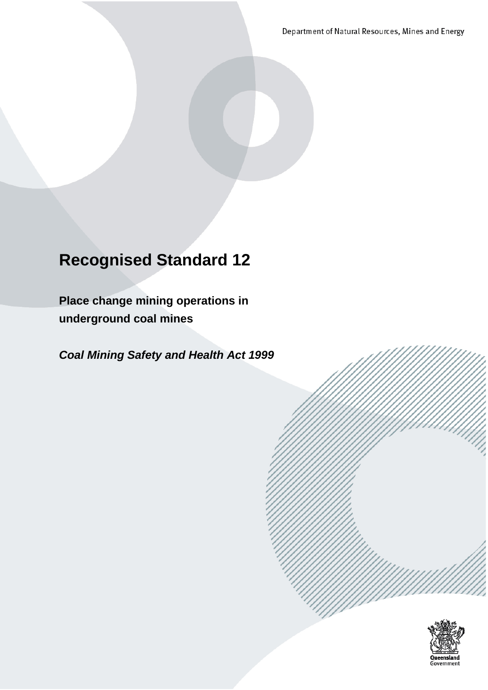Department of Natural Resources, Mines and Energy

# **Recognised Standard 12**

**Place change mining operations in underground coal mines**

*Coal Mining Safety and Health Act 1999*

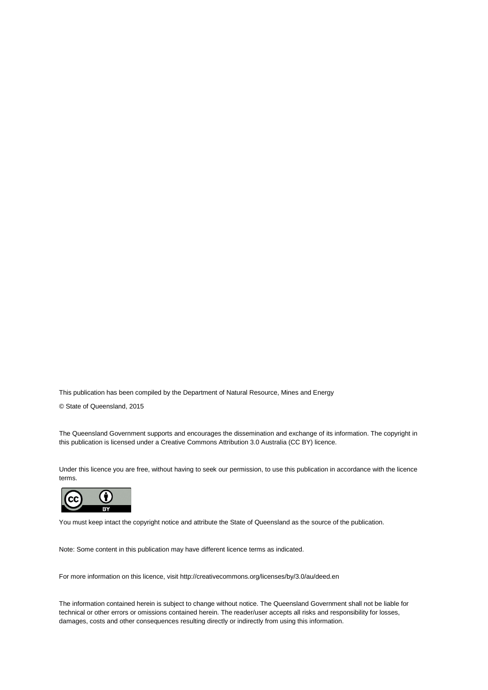This publication has been compiled by the Department of Natural Resource, Mines and Energy

© State of Queensland, 2015

The Queensland Government supports and encourages the dissemination and exchange of its information. The copyright in this publication is licensed under a Creative Commons Attribution 3.0 Australia (CC BY) licence.

Under this licence you are free, without having to seek our permission, to use this publication in accordance with the licence terms.



You must keep intact the copyright notice and attribute the State of Queensland as the source of the publication.

Note: Some content in this publication may have different licence terms as indicated.

For more information on this licence, visit http://creativecommons.org/licenses/by/3.0/au/deed.en

The information contained herein is subject to change without notice. The Queensland Government shall not be liable for technical or other errors or omissions contained herein. The reader/user accepts all risks and responsibility for losses, damages, costs and other consequences resulting directly or indirectly from using this information.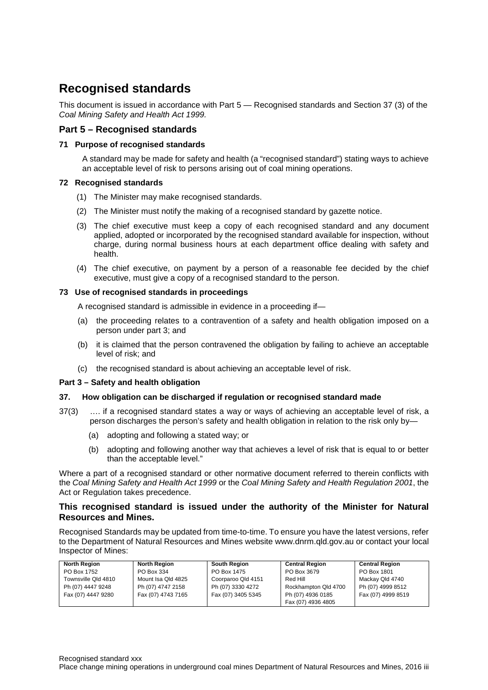# <span id="page-2-0"></span>**Recognised standards**

This document is issued in accordance with Part 5 — Recognised standards and Section 37 (3) of the *Coal Mining Safety and Health Act 1999.*

# <span id="page-2-1"></span>**Part 5 – Recognised standards**

#### **71 Purpose of recognised standards**

A standard may be made for safety and health (a "recognised standard") stating ways to achieve an acceptable level of risk to persons arising out of coal mining operations.

#### **72 Recognised standards**

- (1) The Minister may make recognised standards.
- (2) The Minister must notify the making of a recognised standard by gazette notice.
- (3) The chief executive must keep a copy of each recognised standard and any document applied, adopted or incorporated by the recognised standard available for inspection, without charge, during normal business hours at each department office dealing with safety and health.
- (4) The chief executive, on payment by a person of a reasonable fee decided by the chief executive, must give a copy of a recognised standard to the person.

#### **73 Use of recognised standards in proceedings**

A recognised standard is admissible in evidence in a proceeding if—

- (a) the proceeding relates to a contravention of a safety and health obligation imposed on a person under part 3; and
- (b) it is claimed that the person contravened the obligation by failing to achieve an acceptable level of risk; and
- (c) the recognised standard is about achieving an acceptable level of risk.

#### **Part 3 – Safety and health obligation**

#### **37. How obligation can be discharged if regulation or recognised standard made**

- 37(3) …. if a recognised standard states a way or ways of achieving an acceptable level of risk, a person discharges the person's safety and health obligation in relation to the risk only by—
	- (a) adopting and following a stated way; or
	- (b) adopting and following another way that achieves a level of risk that is equal to or better than the acceptable level."

Where a part of a recognised standard or other normative document referred to therein conflicts with the *Coal Mining Safety and Health Act 1999* or the *Coal Mining Safety and Health Regulation 2001*, the Act or Regulation takes precedence.

#### **This recognised standard is issued under the authority of the Minister for Natural Resources and Mines.**

Recognised Standards may be updated from time-to-time. To ensure you have the latest versions, refer to the Department of Natural Resources and Mines website [www.dnrm.qld.gov.au](http://www.dnrm.qld.gov.au/) or contact your local Inspector of Mines:

| <b>North Region</b> | <b>North Region</b> | <b>South Region</b> | <b>Central Region</b> | <b>Central Region</b> |
|---------------------|---------------------|---------------------|-----------------------|-----------------------|
| PO Box 1752         | PO Box 334          | PO Box 1475         | PO Box 3679           | PO Box 1801           |
| Townsville Qld 4810 | Mount Isa Old 4825  | Coorparoo Qld 4151  | Red Hill              | Mackay Qld 4740       |
| Ph (07) 4447 9248   | Ph (07) 4747 2158   | Ph (07) 3330 4272   | Rockhampton Qld 4700  | Ph (07) 4999 8512     |
| Fax (07) 4447 9280  | Fax (07) 4743 7165  | Fax (07) 3405 5345  | Ph (07) 4936 0185     | Fax (07) 4999 8519    |
|                     |                     |                     | Fax (07) 4936 4805    |                       |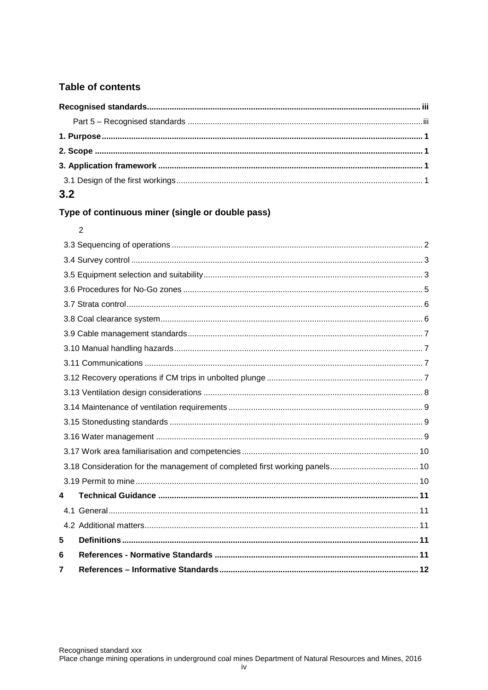# Table of contents

| 3.2 |  |  |  |  |  |  |
|-----|--|--|--|--|--|--|

# Type of continuous miner (single or double pass)

# $\overline{2}$

| 4 |  |  |
|---|--|--|
|   |  |  |
|   |  |  |
| 5 |  |  |
| 6 |  |  |
| 7 |  |  |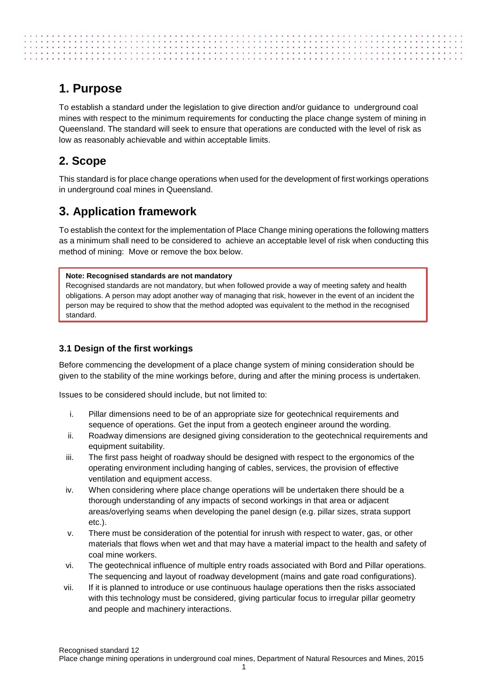# <span id="page-4-0"></span>**1. Purpose**

To establish a standard under the legislation to give direction and/or guidance to underground coal mines with respect to the minimum requirements for conducting the place change system of mining in Queensland. The standard will seek to ensure that operations are conducted with the level of risk as low as reasonably achievable and within acceptable limits.

# <span id="page-4-1"></span>**2. Scope**

This standard is for place change operations when used for the development of first workings operations in underground coal mines in Queensland.

# <span id="page-4-2"></span>**3. Application framework**

To establish the context for the implementation of Place Change mining operations the following matters as a minimum shall need to be considered to achieve an acceptable level of risk when conducting this method of mining: Move or remove the box below.

## **Note: Recognised standards are not mandatory**

Recognised standards are not mandatory, but when followed provide a way of meeting safety and health obligations. A person may adopt another way of managing that risk, however in the event of an incident the person may be required to show that the method adopted was equivalent to the method in the recognised standard.

# <span id="page-4-3"></span>**3.1 Design of the first workings**

Before commencing the development of a place change system of mining consideration should be given to the stability of the mine workings before, during and after the mining process is undertaken.

Issues to be considered should include, but not limited to:

- i. Pillar dimensions need to be of an appropriate size for geotechnical requirements and sequence of operations. Get the input from a geotech engineer around the wording.
- ii. Roadway dimensions are designed giving consideration to the geotechnical requirements and equipment suitability.
- iii. The first pass height of roadway should be designed with respect to the ergonomics of the operating environment including hanging of cables, services, the provision of effective ventilation and equipment access.
- iv. When considering where place change operations will be undertaken there should be a thorough understanding of any impacts of second workings in that area or adjacent areas/overlying seams when developing the panel design (e.g. pillar sizes, strata support etc.).
- v. There must be consideration of the potential for inrush with respect to water, gas, or other materials that flows when wet and that may have a material impact to the health and safety of coal mine workers.
- vi. The geotechnical influence of multiple entry roads associated with Bord and Pillar operations. The sequencing and layout of roadway development (mains and gate road configurations).
- vii. If it is planned to introduce or use continuous haulage operations then the risks associated with this technology must be considered, giving particular focus to irregular pillar geometry and people and machinery interactions.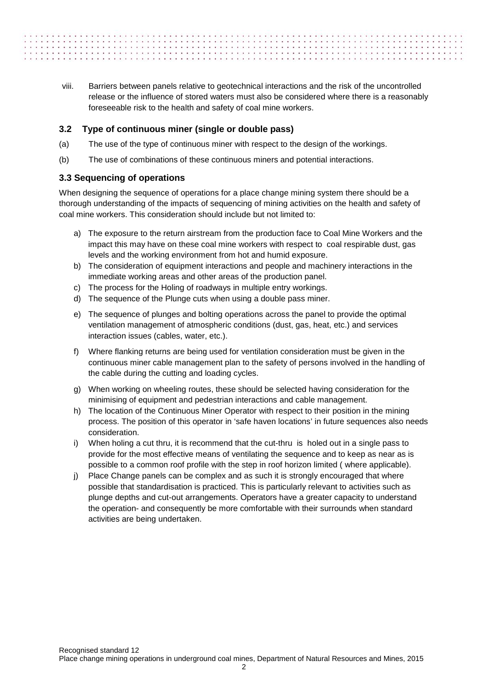viii. Barriers between panels relative to geotechnical interactions and the risk of the uncontrolled release or the influence of stored waters must also be considered where there is a reasonably foreseeable risk to the health and safety of coal mine workers.

## <span id="page-5-0"></span>**3.2 Type of continuous miner (single or double pass)**

- (a) The use of the type of continuous miner with respect to the design of the workings.
- (b) The use of combinations of these continuous miners and potential interactions.

## <span id="page-5-1"></span>**3.3 Sequencing of operations**

 $\mathcal{L}^{\prime}(\mathcal{L}^{\prime},\mathcal{L}^{\prime},\mathcal{L}^{\prime},\mathcal{L}^{\prime},\mathcal{L}^{\prime},\mathcal{L}^{\prime},\mathcal{L}^{\prime},\mathcal{L}^{\prime},\mathcal{L}^{\prime},\mathcal{L}^{\prime},\mathcal{L}^{\prime},\mathcal{L}^{\prime},\mathcal{L}^{\prime},\mathcal{L}^{\prime},\mathcal{L}^{\prime},\mathcal{L}^{\prime},\mathcal{L}^{\prime},\mathcal{L}^{\prime},\mathcal{L}^{\prime},\mathcal{L}^{\prime},\mathcal{L}^{\prime},$ 

When designing the sequence of operations for a place change mining system there should be a thorough understanding of the impacts of sequencing of mining activities on the health and safety of coal mine workers. This consideration should include but not limited to:

- a) The exposure to the return airstream from the production face to Coal Mine Workers and the impact this may have on these coal mine workers with respect to coal respirable dust, gas levels and the working environment from hot and humid exposure.
- b) The consideration of equipment interactions and people and machinery interactions in the immediate working areas and other areas of the production panel.
- c) The process for the Holing of roadways in multiple entry workings.
- d) The sequence of the Plunge cuts when using a double pass miner.
- e) The sequence of plunges and bolting operations across the panel to provide the optimal ventilation management of atmospheric conditions (dust, gas, heat, etc.) and services interaction issues (cables, water, etc.).
- f) Where flanking returns are being used for ventilation consideration must be given in the continuous miner cable management plan to the safety of persons involved in the handling of the cable during the cutting and loading cycles.
- g) When working on wheeling routes, these should be selected having consideration for the minimising of equipment and pedestrian interactions and cable management.
- h) The location of the Continuous Miner Operator with respect to their position in the mining process. The position of this operator in 'safe haven locations' in future sequences also needs consideration.
- i) When holing a cut thru, it is recommend that the cut-thru is holed out in a single pass to provide for the most effective means of ventilating the sequence and to keep as near as is possible to a common roof profile with the step in roof horizon limited ( where applicable).
- j) Place Change panels can be complex and as such it is strongly encouraged that where possible that standardisation is practiced. This is particularly relevant to activities such as plunge depths and cut-out arrangements. Operators have a greater capacity to understand the operation- and consequently be more comfortable with their surrounds when standard activities are being undertaken.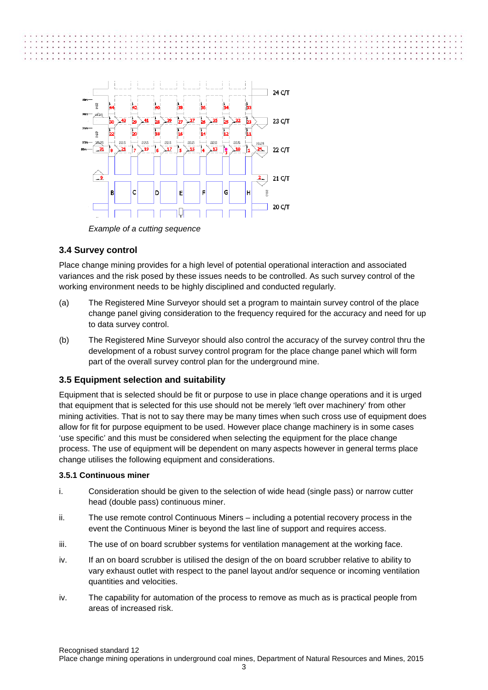



*Example of a cutting sequence* 

# <span id="page-6-0"></span>**3.4 Survey control**

Place change mining provides for a high level of potential operational interaction and associated variances and the risk posed by these issues needs to be controlled. As such survey control of the working environment needs to be highly disciplined and conducted regularly.

- (a) The Registered Mine Surveyor should set a program to maintain survey control of the place change panel giving consideration to the frequency required for the accuracy and need for up to data survey control.
- (b) The Registered Mine Surveyor should also control the accuracy of the survey control thru the development of a robust survey control program for the place change panel which will form part of the overall survey control plan for the underground mine.

# <span id="page-6-1"></span>**3.5 Equipment selection and suitability**

Equipment that is selected should be fit or purpose to use in place change operations and it is urged that equipment that is selected for this use should not be merely 'left over machinery' from other mining activities. That is not to say there may be many times when such cross use of equipment does allow for fit for purpose equipment to be used. However place change machinery is in some cases 'use specific' and this must be considered when selecting the equipment for the place change process. The use of equipment will be dependent on many aspects however in general terms place change utilises the following equipment and considerations.

#### **3.5.1 Continuous miner**

- i. Consideration should be given to the selection of wide head (single pass) or narrow cutter head (double pass) continuous miner.
- ii. The use remote control Continuous Miners including a potential recovery process in the event the Continuous Miner is beyond the last line of support and requires access.
- iii. The use of on board scrubber systems for ventilation management at the working face.
- iv. If an on board scrubber is utilised the design of the on board scrubber relative to ability to vary exhaust outlet with respect to the panel layout and/or sequence or incoming ventilation quantities and velocities.
- iv. The capability for automation of the process to remove as much as is practical people from areas of increased risk.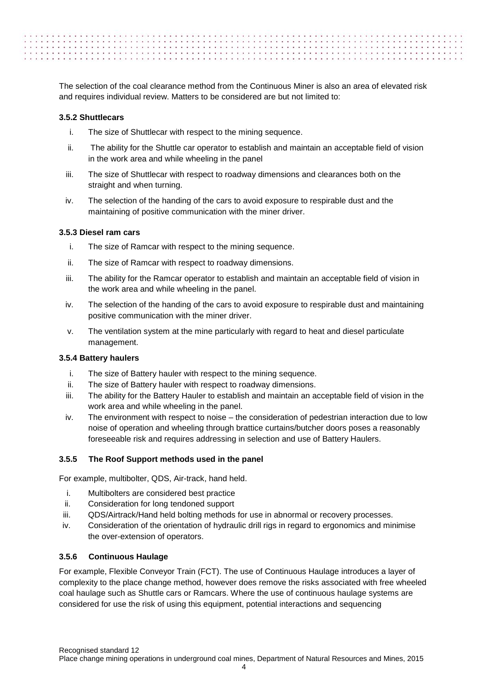The selection of the coal clearance method from the Continuous Miner is also an area of elevated risk and requires individual review. Matters to be considered are but not limited to:

#### **3.5.2 Shuttlecars**

- i. The size of Shuttlecar with respect to the mining sequence.
- ii. The ability for the Shuttle car operator to establish and maintain an acceptable field of vision in the work area and while wheeling in the panel
- iii. The size of Shuttlecar with respect to roadway dimensions and clearances both on the straight and when turning.
- iv. The selection of the handing of the cars to avoid exposure to respirable dust and the maintaining of positive communication with the miner driver.

#### **3.5.3 Diesel ram cars**

- i. The size of Ramcar with respect to the mining sequence.
- ii. The size of Ramcar with respect to roadway dimensions.
- iii. The ability for the Ramcar operator to establish and maintain an acceptable field of vision in the work area and while wheeling in the panel.
- iv. The selection of the handing of the cars to avoid exposure to respirable dust and maintaining positive communication with the miner driver.
- v. The ventilation system at the mine particularly with regard to heat and diesel particulate management.

#### **3.5.4 Battery haulers**

- i. The size of Battery hauler with respect to the mining sequence.
- ii. The size of Battery hauler with respect to roadway dimensions.
- iii. The ability for the Battery Hauler to establish and maintain an acceptable field of vision in the work area and while wheeling in the panel.
- iv. The environment with respect to noise the consideration of pedestrian interaction due to low noise of operation and wheeling through brattice curtains/butcher doors poses a reasonably foreseeable risk and requires addressing in selection and use of Battery Haulers.

#### **3.5.5 The Roof Support methods used in the panel**

For example, multibolter, QDS, Air-track, hand held.

- i. Multibolters are considered best practice
- ii. Consideration for long tendoned support
- iii. QDS/Airtrack/Hand held bolting methods for use in abnormal or recovery processes.
- iv. Consideration of the orientation of hydraulic drill rigs in regard to ergonomics and minimise the over-extension of operators.

#### **3.5.6 Continuous Haulage**

For example, Flexible Conveyor Train (FCT). The use of Continuous Haulage introduces a layer of complexity to the place change method, however does remove the risks associated with free wheeled coal haulage such as Shuttle cars or Ramcars. Where the use of continuous haulage systems are considered for use the risk of using this equipment, potential interactions and sequencing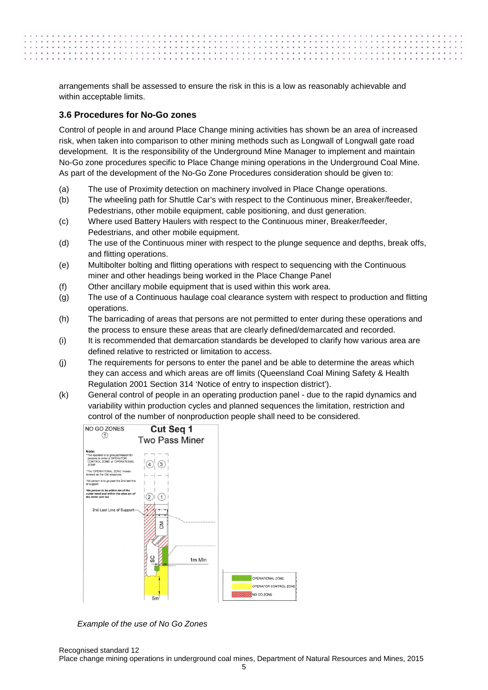arrangements shall be assessed to ensure the risk in this is a low as reasonably achievable and within acceptable limits.

a contractor of a contractor of a contractor of a contractor of a contractor of a contractor of a contractor of

#### <span id="page-8-0"></span>**3.6 Procedures for No-Go zones**

Control of people in and around Place Change mining activities has shown be an area of increased risk, when taken into comparison to other mining methods such as Longwall of Longwall gate road development. It is the responsibility of the Underground Mine Manager to implement and maintain No-Go zone procedures specific to Place Change mining operations in the Underground Coal Mine. As part of the development of the No-Go Zone Procedures consideration should be given to:

- (a) The use of Proximity detection on machinery involved in Place Change operations.
- (b) The wheeling path for Shuttle Car's with respect to the Continuous miner, Breaker/feeder, Pedestrians, other mobile equipment, cable positioning, and dust generation.
- (c) Where used Battery Haulers with respect to the Continuous miner, Breaker/feeder, Pedestrians, and other mobile equipment.
- (d) The use of the Continuous miner with respect to the plunge sequence and depths, break offs, and flitting operations.
- (e) Multibolter bolting and flitting operations with respect to sequencing with the Continuous miner and other headings being worked in the Place Change Panel
- (f) Other ancillary mobile equipment that is used within this work area.
- (g) The use of a Continuous haulage coal clearance system with respect to production and flitting operations.
- (h) The barricading of areas that persons are not permitted to enter during these operations and the process to ensure these areas that are clearly defined/demarcated and recorded.
- (i) It is recommended that demarcation standards be developed to clarify how various area are defined relative to restricted or limitation to access.
- (j) The requirements for persons to enter the panel and be able to determine the areas which they can access and which areas are off limits (Queensland Coal Mining Safety & Health Regulation 2001 Section 314 'Notice of entry to inspection district').
- (k) General control of people in an operating production panel due to the rapid dynamics and variability within production cycles and planned sequences the limitation, restriction and control of the number of nonproduction people shall need to be considered.



 *Example of the use of No Go Zones*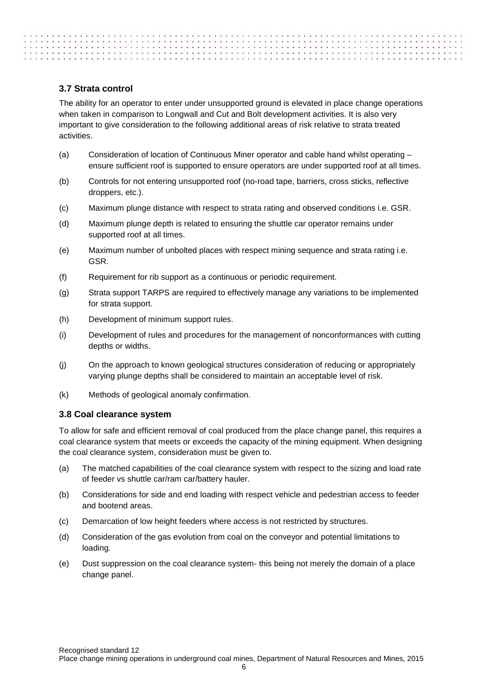# <span id="page-9-0"></span>**3.7 Strata control**

. . . . . . . . . . . . . . . . . . .

The ability for an operator to enter under unsupported ground is elevated in place change operations when taken in comparison to Longwall and Cut and Bolt development activities. It is also very important to give consideration to the following additional areas of risk relative to strata treated activities.

- (a) Consideration of location of Continuous Miner operator and cable hand whilst operating ensure sufficient roof is supported to ensure operators are under supported roof at all times.
- (b) Controls for not entering unsupported roof (no-road tape, barriers, cross sticks, reflective droppers, etc.).
- (c) Maximum plunge distance with respect to strata rating and observed conditions i.e. GSR.
- (d) Maximum plunge depth is related to ensuring the shuttle car operator remains under supported roof at all times.
- (e) Maximum number of unbolted places with respect mining sequence and strata rating i.e. GSR.
- (f) Requirement for rib support as a continuous or periodic requirement.
- (g) Strata support TARPS are required to effectively manage any variations to be implemented for strata support.
- (h) Development of minimum support rules.
- (i) Development of rules and procedures for the management of nonconformances with cutting depths or widths.
- (j) On the approach to known geological structures consideration of reducing or appropriately varying plunge depths shall be considered to maintain an acceptable level of risk.
- (k) Methods of geological anomaly confirmation.

#### <span id="page-9-1"></span>**3.8 Coal clearance system**

To allow for safe and efficient removal of coal produced from the place change panel, this requires a coal clearance system that meets or exceeds the capacity of the mining equipment. When designing the coal clearance system, consideration must be given to.

- (a) The matched capabilities of the coal clearance system with respect to the sizing and load rate of feeder vs shuttle car/ram car/battery hauler.
- (b) Considerations for side and end loading with respect vehicle and pedestrian access to feeder and bootend areas.
- (c) Demarcation of low height feeders where access is not restricted by structures.
- (d) Consideration of the gas evolution from coal on the conveyor and potential limitations to loading.
- (e) Dust suppression on the coal clearance system- this being not merely the domain of a place change panel.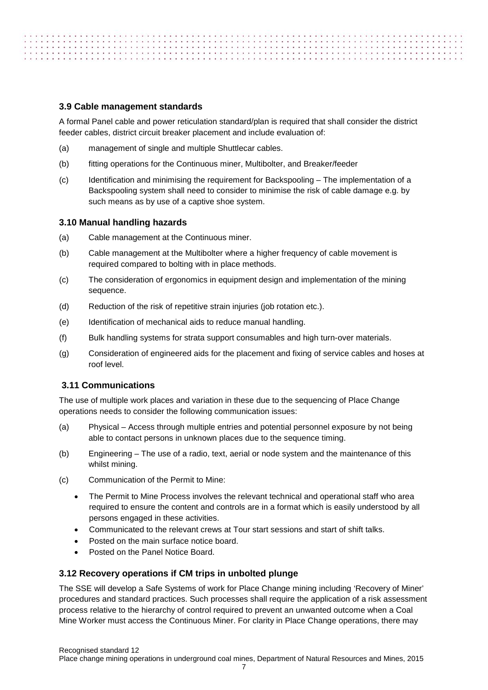## <span id="page-10-0"></span>**3.9 Cable management standards**

property to a structure of the state of the state of the state of the state of the state of the state of the state of the state of the state of the state of the state of the state of the state of the state of the state of

A formal Panel cable and power reticulation standard/plan is required that shall consider the district feeder cables, district circuit breaker placement and include evaluation of:

- (a) management of single and multiple Shuttlecar cables.
- (b) fitting operations for the Continuous miner, Multibolter, and Breaker/feeder
- (c) Identification and minimising the requirement for Backspooling The implementation of a Backspooling system shall need to consider to minimise the risk of cable damage e.g. by such means as by use of a captive shoe system.

## <span id="page-10-1"></span>**3.10 Manual handling hazards**

- (a) Cable management at the Continuous miner.
- (b) Cable management at the Multibolter where a higher frequency of cable movement is required compared to bolting with in place methods.
- (c) The consideration of ergonomics in equipment design and implementation of the mining sequence.
- (d) Reduction of the risk of repetitive strain injuries (job rotation etc.).
- (e) Identification of mechanical aids to reduce manual handling.
- (f) Bulk handling systems for strata support consumables and high turn-over materials.
- (g) Consideration of engineered aids for the placement and fixing of service cables and hoses at roof level.

# <span id="page-10-2"></span>**3.11 Communications**

The use of multiple work places and variation in these due to the sequencing of Place Change operations needs to consider the following communication issues:

- (a) Physical Access through multiple entries and potential personnel exposure by not being able to contact persons in unknown places due to the sequence timing.
- (b) Engineering The use of a radio, text, aerial or node system and the maintenance of this whilst mining.
- (c) Communication of the Permit to Mine:
	- The Permit to Mine Process involves the relevant technical and operational staff who area required to ensure the content and controls are in a format which is easily understood by all persons engaged in these activities.
	- Communicated to the relevant crews at Tour start sessions and start of shift talks.
	- Posted on the main surface notice board.
	- Posted on the Panel Notice Board.

#### <span id="page-10-3"></span>**3.12 Recovery operations if CM trips in unbolted plunge**

The SSE will develop a Safe Systems of work for Place Change mining including 'Recovery of Miner' procedures and standard practices. Such processes shall require the application of a risk assessment process relative to the hierarchy of control required to prevent an unwanted outcome when a Coal Mine Worker must access the Continuous Miner. For clarity in Place Change operations, there may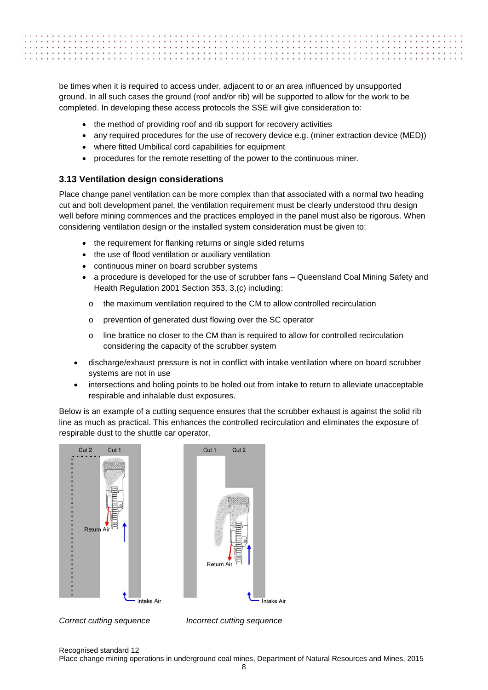| CROSS ACTIVITIES IN THE RESERVE OF VIOLENCE OF THE CITY OF REGISTING TO THE RESERVE OF A PROPERTY OF A PROPERTY OF A PROPERTY OF A PROPERTY OF A PROPERTY OF A PROPERTY OF A PROPERTY OF A PROPERTY OF A |  |
|----------------------------------------------------------------------------------------------------------------------------------------------------------------------------------------------------------|--|
|                                                                                                                                                                                                          |  |
|                                                                                                                                                                                                          |  |
|                                                                                                                                                                                                          |  |
|                                                                                                                                                                                                          |  |

be times when it is required to access under, adjacent to or an area influenced by unsupported ground. In all such cases the ground (roof and/or rib) will be supported to allow for the work to be completed. In developing these access protocols the SSE will give consideration to:

- the method of providing roof and rib support for recovery activities
- any required procedures for the use of recovery device e.g. (miner extraction device (MED))
- where fitted Umbilical cord capabilities for equipment
- procedures for the remote resetting of the power to the continuous miner.

# <span id="page-11-0"></span>**3.13 Ventilation design considerations**

Place change panel ventilation can be more complex than that associated with a normal two heading cut and bolt development panel, the ventilation requirement must be clearly understood thru design well before mining commences and the practices employed in the panel must also be rigorous. When considering ventilation design or the installed system consideration must be given to:

- the requirement for flanking returns or single sided returns
- the use of flood ventilation or auxiliary ventilation
- continuous miner on board scrubber systems
- a procedure is developed for the use of scrubber fans Queensland Coal Mining Safety and Health Regulation 2001 Section 353, 3,(c) including:
	- o the maximum ventilation required to the CM to allow controlled recirculation
	- o prevention of generated dust flowing over the SC operator
	- o line brattice no closer to the CM than is required to allow for controlled recirculation considering the capacity of the scrubber system
- discharge/exhaust pressure is not in conflict with intake ventilation where on board scrubber systems are not in use
- intersections and holing points to be holed out from intake to return to alleviate unacceptable respirable and inhalable dust exposures.

Below is an example of a cutting sequence ensures that the scrubber exhaust is against the solid rib line as much as practical. This enhances the controlled recirculation and eliminates the exposure of respirable dust to the shuttle car operator.





*Correct cutting sequence Incorrect cutting sequence*

Recognised standard 12 Place change mining operations in underground coal mines, Department of Natural Resources and Mines, 2015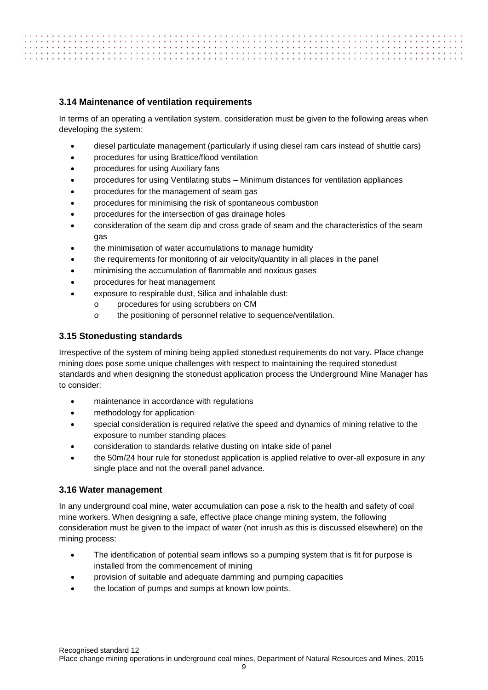# <span id="page-12-0"></span>**3.14 Maintenance of ventilation requirements**

. . . . . . . . . . . . . . . . . . .

In terms of an operating a ventilation system, consideration must be given to the following areas when developing the system:

- diesel particulate management (particularly if using diesel ram cars instead of shuttle cars)
- procedures for using Brattice/flood ventilation
- procedures for using Auxiliary fans
- procedures for using Ventilating stubs Minimum distances for ventilation appliances
- procedures for the management of seam gas
- procedures for minimising the risk of spontaneous combustion
- procedures for the intersection of gas drainage holes
- consideration of the seam dip and cross grade of seam and the characteristics of the seam gas
- the minimisation of water accumulations to manage humidity
- the requirements for monitoring of air velocity/quantity in all places in the panel
- minimising the accumulation of flammable and noxious gases
- procedures for heat management
- exposure to respirable dust, Silica and inhalable dust:
	- o procedures for using scrubbers on CM
	- o the positioning of personnel relative to sequence/ventilation.

# <span id="page-12-1"></span>**3.15 Stonedusting standards**

Irrespective of the system of mining being applied stonedust requirements do not vary. Place change mining does pose some unique challenges with respect to maintaining the required stonedust standards and when designing the stonedust application process the Underground Mine Manager has to consider:

- maintenance in accordance with regulations
- methodology for application
- special consideration is required relative the speed and dynamics of mining relative to the exposure to number standing places
- consideration to standards relative dusting on intake side of panel
- the 50m/24 hour rule for stonedust application is applied relative to over-all exposure in any single place and not the overall panel advance.

# <span id="page-12-2"></span>**3.16 Water management**

In any underground coal mine, water accumulation can pose a risk to the health and safety of coal mine workers. When designing a safe, effective place change mining system, the following consideration must be given to the impact of water (not inrush as this is discussed elsewhere) on the mining process:

- The identification of potential seam inflows so a pumping system that is fit for purpose is installed from the commencement of mining
- provision of suitable and adequate damming and pumping capacities
- the location of pumps and sumps at known low points.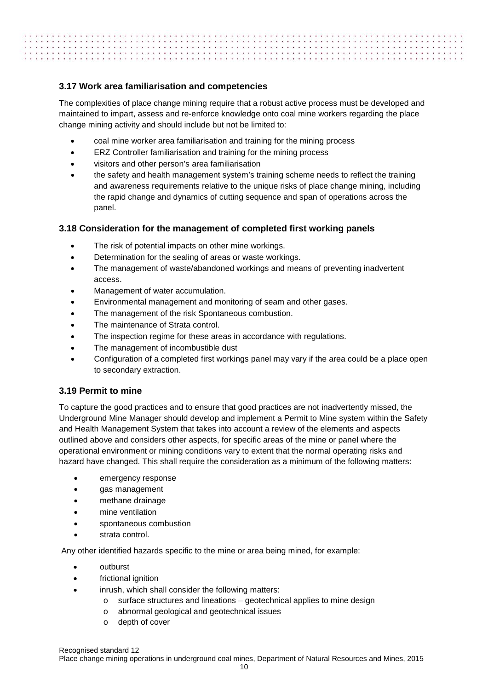# . . . . . . . . . . . . . . . . . . .

# <span id="page-13-0"></span>**3.17 Work area familiarisation and competencies**

The complexities of place change mining require that a robust active process must be developed and maintained to impart, assess and re-enforce knowledge onto coal mine workers regarding the place change mining activity and should include but not be limited to:

- coal mine worker area familiarisation and training for the mining process
- ERZ Controller familiarisation and training for the mining process
- visitors and other person's area familiarisation
- the safety and health management system's training scheme needs to reflect the training and awareness requirements relative to the unique risks of place change mining, including the rapid change and dynamics of cutting sequence and span of operations across the panel.

# <span id="page-13-1"></span>**3.18 Consideration for the management of completed first working panels**

- The risk of potential impacts on other mine workings.
- Determination for the sealing of areas or waste workings.
- The management of waste/abandoned workings and means of preventing inadvertent access.
- Management of water accumulation.
- Environmental management and monitoring of seam and other gases.
- The management of the risk Spontaneous combustion.
- The maintenance of Strata control.
- The inspection regime for these areas in accordance with regulations.
- The management of incombustible dust
- Configuration of a completed first workings panel may vary if the area could be a place open to secondary extraction.

# <span id="page-13-2"></span>**3.19 Permit to mine**

To capture the good practices and to ensure that good practices are not inadvertently missed, the Underground Mine Manager should develop and implement a Permit to Mine system within the Safety and Health Management System that takes into account a review of the elements and aspects outlined above and considers other aspects, for specific areas of the mine or panel where the operational environment or mining conditions vary to extent that the normal operating risks and hazard have changed. This shall require the consideration as a minimum of the following matters:

- emergency response
- gas management
- methane drainage
- mine ventilation
- spontaneous combustion
- strata control.

Any other identified hazards specific to the mine or area being mined, for example:

- outburst
- frictional ignition
- inrush, which shall consider the following matters:
	- o surface structures and lineations geotechnical applies to mine design
	- o abnormal geological and geotechnical issues
	- o depth of cover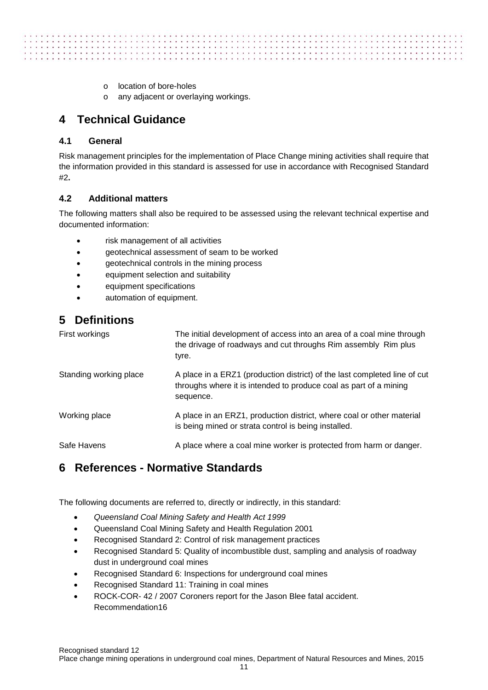- o location of bore-holes
- o any adjacent or overlaying workings.

# <span id="page-14-0"></span>**4 Technical Guidance**

# <span id="page-14-1"></span>**4.1 General**

. . . . . . . . . . . . . . . . . . .

Risk management principles for the implementation of Place Change mining activities shall require that the information provided in this standard is assessed for use in accordance with Recognised Standard #2**.**

# <span id="page-14-2"></span>**4.2 Additional matters**

The following matters shall also be required to be assessed using the relevant technical expertise and documented information:

- risk management of all activities
- geotechnical assessment of seam to be worked
- geotechnical controls in the mining process
- equipment selection and suitability
- equipment specifications
- automation of equipment.

# <span id="page-14-3"></span>**5 Definitions**

| First workings         | The initial development of access into an area of a coal mine through<br>the drivage of roadways and cut throughs Rim assembly Rim plus<br>tyre.            |
|------------------------|-------------------------------------------------------------------------------------------------------------------------------------------------------------|
| Standing working place | A place in a ERZ1 (production district) of the last completed line of cut<br>throughs where it is intended to produce coal as part of a mining<br>sequence. |
| Working place          | A place in an ERZ1, production district, where coal or other material<br>is being mined or strata control is being installed.                               |
| Safe Havens            | A place where a coal mine worker is protected from harm or danger.                                                                                          |

# <span id="page-14-4"></span>**6 References - Normative Standards**

The following documents are referred to, directly or indirectly, in this standard:

- *Queensland Coal Mining Safety and Health Act 1999*
- Queensland Coal Mining Safety and Health Regulation 2001
- Recognised Standard 2: Control of risk management practices
- Recognised Standard 5: Quality of incombustible dust, sampling and analysis of roadway dust in underground coal mines
- Recognised Standard 6: Inspections for underground coal mines
- Recognised Standard 11: Training in coal mines
- ROCK-COR- 42 / 2007 Coroners report for the Jason Blee fatal accident. Recommendation16